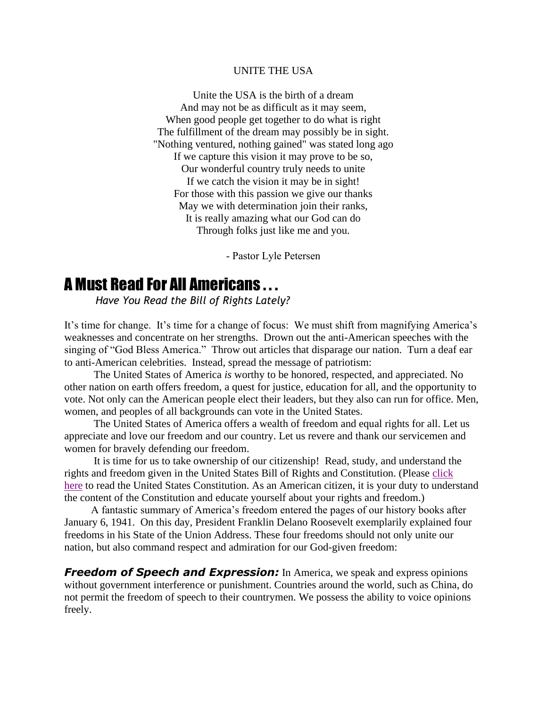## UNITE THE USA

Unite the USA is the birth of a dream And may not be as difficult as it may seem, When good people get together to do what is right The fulfillment of the dream may possibly be in sight. "Nothing ventured, nothing gained" was stated long ago If we capture this vision it may prove to be so, Our wonderful country truly needs to unite If we catch the vision it may be in sight! For those with this passion we give our thanks May we with determination join their ranks, It is really amazing what our God can do Through folks just like me and you.

- Pastor Lyle Petersen

## A Must Read For All Americans . . .

*Have You Read the Bill of Rights Lately?*

It's time for change. It's time for a change of focus: We must shift from magnifying America's weaknesses and concentrate on her strengths. Drown out the anti-American speeches with the singing of "God Bless America." Throw out articles that disparage our nation. Turn a deaf ear to anti-American celebrities. Instead, spread the message of patriotism:

 The United States of America *is* worthy to be honored, respected, and appreciated. No other nation on earth offers freedom, a quest for justice, education for all, and the opportunity to vote. Not only can the American people elect their leaders, but they also can run for office. Men, women, and peoples of all backgrounds can vote in the United States.

 The United States of America offers a wealth of freedom and equal rights for all. Let us appreciate and love our freedom and our country. Let us revere and thank our servicemen and women for bravely defending our freedom.

 It is time for us to take ownership of our citizenship! Read, study, and understand the rights and freedom given in the United States Bill of Rights and Constitution. (Please [click](http://www.law.cornell.edu/constitution/constitution.billofrights.html)  [here](http://www.law.cornell.edu/constitution/constitution.billofrights.html) to read the United States Constitution. As an American citizen, it is your duty to understand the content of the Constitution and educate yourself about your rights and freedom.)

 A fantastic summary of America's freedom entered the pages of our history books after January 6, 1941. On this day, President Franklin Delano Roosevelt exemplarily explained four freedoms in his State of the Union Address. These four freedoms should not only unite our nation, but also command respect and admiration for our God-given freedom:

*Freedom of Speech and Expression:* In America, we speak and express opinions without government interference or punishment. Countries around the world, such as China, do not permit the freedom of speech to their countrymen. We possess the ability to voice opinions freely.